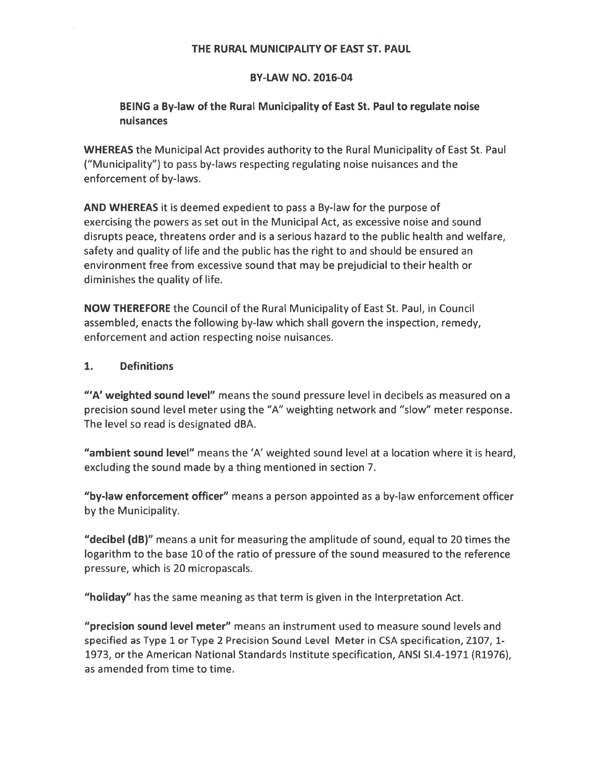#### THE RURAL MUNICIPALITY OF EAST ST. PAUL

#### BY-LAW NO. 2016-04

#### BEING <sup>a</sup> By-law of the Rural Municipality of East St. Paul to regulate noise nuisances

WHEREAS the Municipal Act provides authority to the Rural Municipality of East St. Paul ("Municipality") to pass by-laws respecting regulating noise nuisances and the enforcement of by-laws.

AND WHEREAS it is deemed expedient to pass <sup>a</sup> By-law for the purpose of exercising the powers as set out in the Municipal Act, as excessive noise and sound disrupts peace, threatens order and is <sup>a</sup> serious hazard to the public health and welfare, safety and quality of life and the public has the right to and should be ensured an environment free from excessive sound that may be prejudicial to their health or diminishes the quality of life.

NOW THEREFORE the Council of the Rural Municipality of East St. Paul, in Council assembled, enacts the following by-law which shall govern the inspection, remedy, enforcement and action respecting noise nuisances.

#### 1. Definitions

"'A' weighted sound level" means the sound pressure level in decibels as measured on a precision sound level meter using the "A" weighting network and "slow" meter response. The level so read is designated dBA.

"ambient sound level" means the 'A' weighted sound level at <sup>a</sup> location where it is heard, excluding the sound made by <sup>a</sup> thing mentioned in section 7.

"by-law enforcement officer" means <sup>a</sup> person appointed as <sup>a</sup> by-law enforcement officer by the Municipality.

"decibel (dB)" means <sup>a</sup> unit for measuring the amplitude of sound, equal to 20 times the logarithm to the base 10 of the ratio of pressure of the sound measured to the reference pressure, which is 20 micropascals.

"holiday" has the same meaning as that term is given in the Interpretation Act.

"precision sound level meter" means an instrument used to measure sound levels and specified as Type 1 or Type 2 Precision Sound Level Meter in CSA specification, Z107, 1- 1973, or the American National Standards Institute specification, ANSI 51.4-1971 (R1976), as amended from time to time.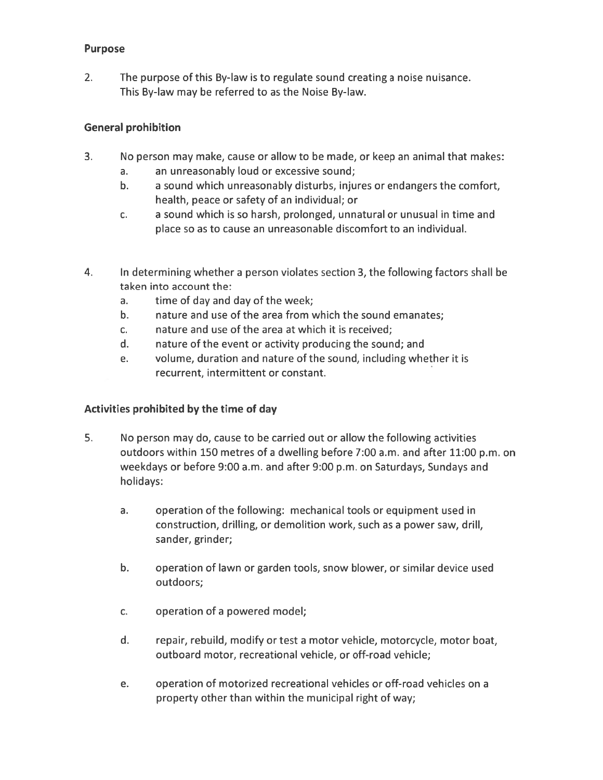#### Purpose

2. The purpose of this By-law is to regulate sound creating <sup>a</sup> noise nuisance. This By-law may be referred to as the Noise By-law.

#### General prohibition

- 3. No person may make, cause or allow to be made, or keep an animal that makes:
	- a. an unreasonably loud or excessive sound;
	- b. <sup>a</sup> sound which unreasonably disturbs, injures or endangers the comfort, health, peace or safety of an individual; or
	- c. <sup>a</sup> sound which is so harsh, prolonged, unnatural or unusual in time and place so as to cause an unreasonable discomfort to an individual.
- 4. In determining whether <sup>a</sup> person violates section 3, the following factors shall be taken into account the:
	- a. time of day and day of the week;
	- b. nature and use of the area from which the sound emanates;
	- c. nature and use of the area at which it is received;
	- d. nature of the event or activity producing the sound; and
	- e. volume, duration and nature of the sound, including whether it is recurrent, intermittent or constant.

#### Activities prohibited by the time of day

- 5. No person may do, cause to be carried out or allow the following activities outdoors within 150 metres of <sup>a</sup> dwelling before 7:00 a.m. and after 11:00 p.m. on weekdays or before 9:00 a.m. and after 9:00 p.m. on Saturdays, Sundays and holidays:
	- a. operation of the following: mechanical tools or equipment used in construction, drilling, or demolition work, such as <sup>a</sup> power saw, drill, sander, grinder;
	- b. operation of lawn or garden tools, snow blower, or similar device used outdoors;
	- c. operation of <sup>a</sup> powered model;
	- d. repair, rebuild, modify or test <sup>a</sup> motor vehicle, motorcycle, motor boat, outboard motor, recreational vehicle, or off-road vehicle;
	- e. operation of motorized recreational vehicles or off-road vehicles on <sup>a</sup> property other than within the municipal right of way;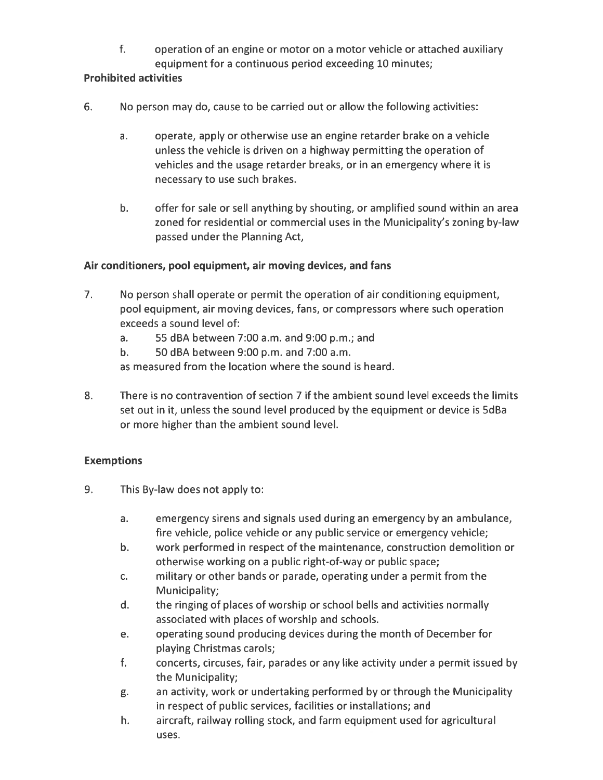f. operation of an engine or motor on a motor vehicle or attached auxiliary equipment for <sup>a</sup> continuous period exceeding 10 minutes;

#### Prohibited activities

- 6. No person may do, cause to be carried out or allow the following activities:
	- a. operate, apply or otherwise use an engine retarder brake on <sup>a</sup> vehicle unless the vehicle is driven on <sup>a</sup> highway permitting the operation of vehicles and the usage retarder breaks, or in an emergency where it is necessary to use such brakes.
	- b. offer for sale or sell anything by shouting, or amplified sound within an area zoned for residential or commercial uses in the Municipality's zoning by-law passed under the Planning Act,

#### Air conditioners, pool equipment, air moving devices, and fans

- 7. No person shall operate or permit the operation of air conditioning equipment, pool equipment, air moving devices, fans, or compressors where such operation exceeds <sup>a</sup> sound level of:
	- a. 55 dBA between 7:00 a.m. and 9:00 p.m.; and
	- b. 50 dBA between 9:00 p.m. and 7:00 a.m.

as measured from the location where the sound is heard.

8. There is no contravention of section 7 if the ambient sound level exceeds the limits set out in it, unless the sound level produced by the equipment or device is 5dBa or more higher than the ambient sound level.

#### Exemptions

- 9. This By-law does not apply to:
	- a. emergency sirens and signals used during an emergency by an ambulance, fire vehicle, police vehicle or any public service or emergency vehicle;
	- b. work performed in respec<sup>t</sup> of the maintenance, construction demolition or otherwise working on <sup>a</sup> public right-of-way or public space;
	- c. military or other bands or parade, operating under <sup>a</sup> permit from the Municipality;
	- d. the ringing of places of worship or school bells and activities normally associated with places of worship and schools.
	- e. operating sound producing devices during the month of December for playing Christmas carols;
	- f. concerts, circuses, fair, parades or any like activity under <sup>a</sup> permit issued by the Municipality;
	- g. an activity, work or undertaking performed by or through the Municipality in respec<sup>t</sup> of public services, facilities or installations; and
	- h. aircraft, railway rolling stock, and farm equipment used for agricultural uses.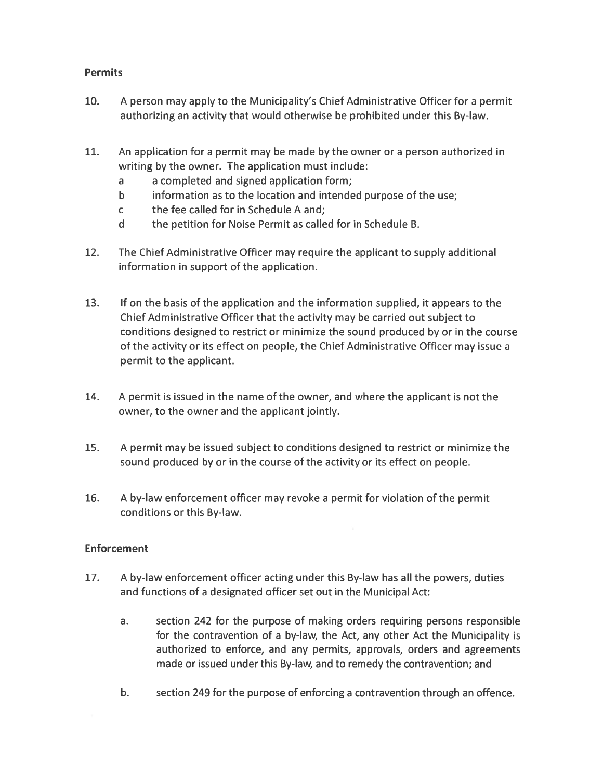#### **Permits**

- 10. A person may apply to the Municipality's Chief Administrative Officer for <sup>a</sup> permit authorizing an activity that would otherwise be prohibited under this By-law.
- 11. An application for <sup>a</sup> permit may be made by the owner or <sup>a</sup> person authorized in writing by the owner. The application must include:
	- <sup>a</sup> <sup>a</sup> completed and signed application form;
	- b information as to the location and intended purpose of the use;
	- <sup>c</sup> the fee called for in Schedule A and;
	- d the petition for Noise Permit as called for in Schedule B.
- 12. The Chief Administrative Officer may require the applicant to supply additional information in suppor<sup>t</sup> of the application.
- 13. If on the basis of the application and the information supplied, it appears to the Chief Administrative Officer that the activity may be carried out subject to conditions designed to restrict or minimize the sound produced by or in the course of the activity or its effect on people, the Chief Administrative Officer may issue <sup>a</sup> permit to the applicant.
- 14. A permit is issued in the name of the owner, and where the applicant is not the owner, to the owner and the applicant jointly.
- 15. A permit may be issued subject to conditions designed to restrict or minimize the sound produced by or in the course of the activity or its effect on people.
- 16. A by-law enforcement officer may revoke <sup>a</sup> permit for violation of the permit conditions or this By-law.

#### Enforcement

- 17. A by-law enforcement officer acting under this By-law has all the powers, duties and functions of <sup>a</sup> designated officer set out in the Municipal Act:
	- a. section 242 for the purpose of making orders requiring persons responsible for the contravention of a by-law, the Act, any other Act the Municipality is authorized to enforce, and any permits, approvals, orders and agreements made or issued under this By-law, and to remedy the contravention; and
	- b. section 249 for the purpose of enforcing <sup>a</sup> contravention through an offence.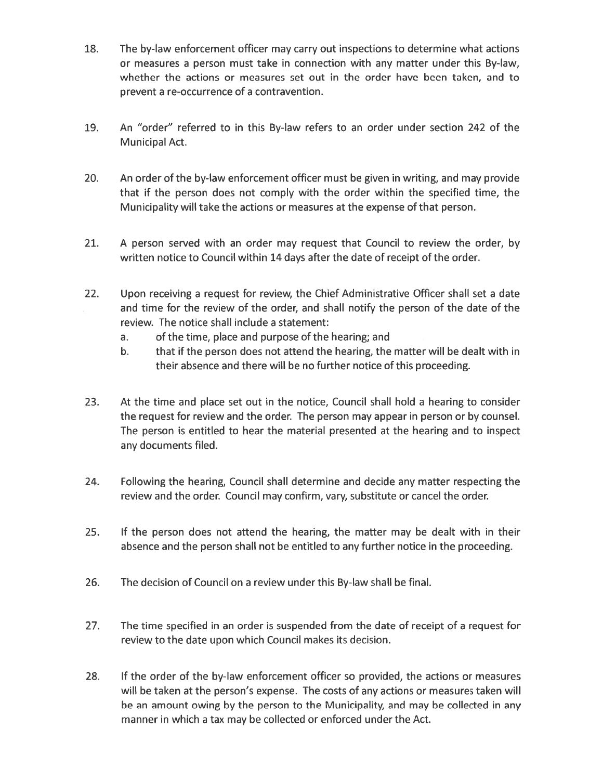- 18. The by-law enforcement officer may carry out inspections to determine what actions or measures <sup>a</sup> person must take in connection with any matter under this By-law, whether the actions or measures set out in the order have been taken, and to preven<sup>t</sup> <sup>a</sup> re-occurrence of <sup>a</sup> contravention.
- 19. An "order" referred to in this By-law refers to an order under section 242 of the Municipal Act.
- 20. An order of the by-law enforcement officer must be given in writing, and may provide that if the person does not comply with the order within the specified time, the Municipality will take the actions or measures at the expense of that person.
- 21. A person served with an order may reques<sup>t</sup> that Council to review the order, by written notice to Council within 14 days after the date of receipt of the order.
- 22. Upon receiving <sup>a</sup> reques<sup>t</sup> for review, the Chief Administrative Officer shall set <sup>a</sup> date and time for the review of the order, and shall notify the person of the date of the review. The notice shall include <sup>a</sup> statement:
	- a. of the time, place and purpose of the hearing; and
	- b. that if the person does not attend the hearing, the matter will be dealt with in their absence and there will be no further notice of this proceeding.
- 23. At the time and place set out in the notice, Council shall hold <sup>a</sup> hearing to consider the reques<sup>t</sup> for review and the order. The person may appear in person or by counsel. The person is entitled to hear the material presented at the hearing and to inspect any documents filed.
- 24. Following the hearing, Council shall determine and decide any matter respecting the review and the order. Council may confirm, vary, substitute or cancel the order.
- 25. If the person does not attend the hearing, the matter may be dealt with in their absence and the person shall not be entitled to any further notice in the proceeding.
- 26. The decision of Council on <sup>a</sup> review under this By-law shall be final.
- 27. The time specified in an order is suspended from the date of receipt of <sup>a</sup> reques<sup>t</sup> for review to the date upon which Council makes its decision.
- 28. If the order of the by-law enforcement officer so provided, the actions or measures will be taken at the person's expense. The costs of any actions or measures taken will be an amount owing by the person to the Municipality, and may be collected in any manner in which <sup>a</sup> tax may be collected or enforced under the Act.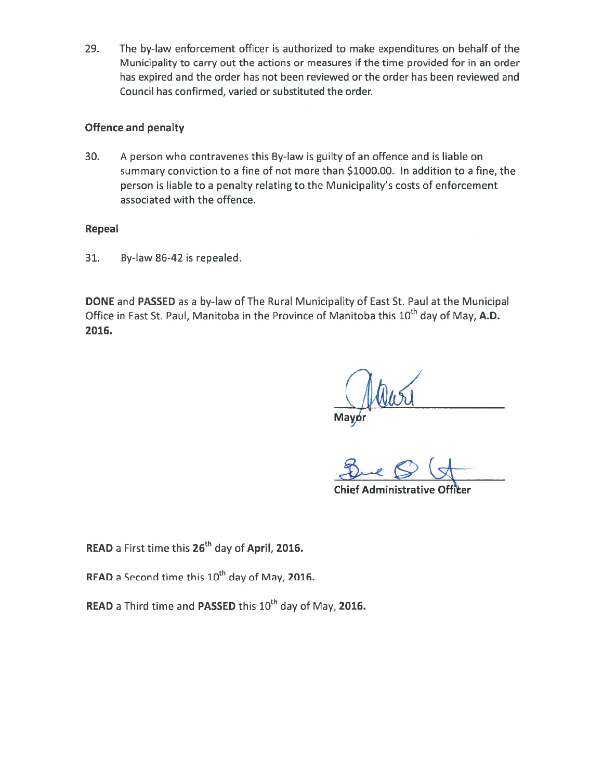29. The by-law enforcement officer is authorized to make expenditures on behalf of the Municipality to carry out the actions or measures if the time provided for in an order has expired and the order has not been reviewed or the order has been reviewed and Council has confirmed, varied or substituted the order.

#### Offence and penalty

30. A person who contravenes this By-law is guilty of an offence and is liable on summary conviction to <sup>a</sup> fine of not more than \$1000.00. In addition to <sup>a</sup> fine, the person is liable to <sup>a</sup> penalty relating to the Municipality's costs of enforcement associated with the offence.

#### Repeal

31. By-law 86-42 is repealed.

DONE and PASSED as <sup>a</sup> by-law of The Rural Municipality of East St. Paul at the Municipal Office in East St. Paul, Manitoba in the Province of Manitoba this  $10<sup>th</sup>$  day of May, A.D. 2016.

Mayor<br>Mayor

Chief Administrative Officer

READ a First time this 26<sup>th</sup> day of April, 2016.

READ a Second time this 10<sup>th</sup> day of May, 2016.

READ a Third time and PASSED this 10<sup>th</sup> day of May, 2016.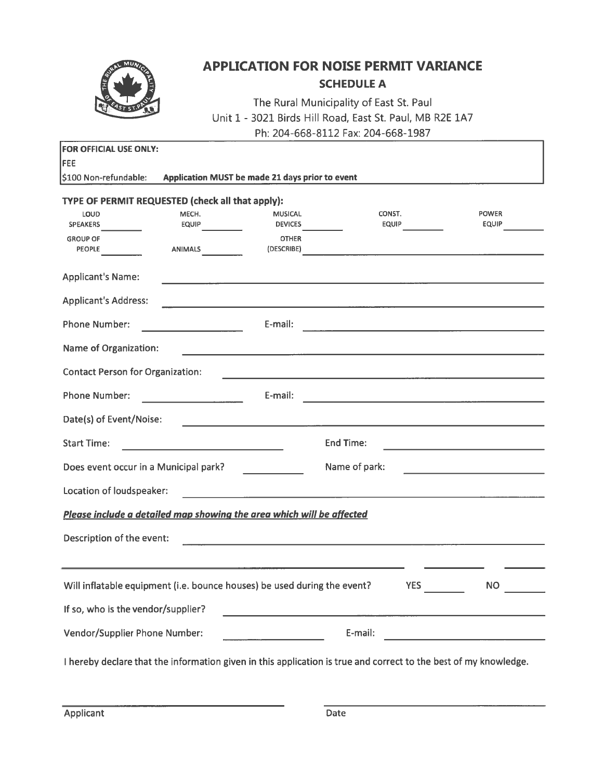

### APPLICATION FOR NOISE PERMIT VARIANCE SCHEDULE A

|                                                          | <b>APPLICATION FOR NOISE PERMIT VARIANCE</b> |                                                                                                                 |                                                                                                                      |                                                            |  |  |  |  |  |  |
|----------------------------------------------------------|----------------------------------------------|-----------------------------------------------------------------------------------------------------------------|----------------------------------------------------------------------------------------------------------------------|------------------------------------------------------------|--|--|--|--|--|--|
|                                                          |                                              |                                                                                                                 | <b>SCHEDULE A</b>                                                                                                    |                                                            |  |  |  |  |  |  |
|                                                          |                                              |                                                                                                                 | The Rural Municipality of East St. Paul<br>Unit 1 - 3021 Birds Hill Road, East St. Paul, MB R2E 1A7                  |                                                            |  |  |  |  |  |  |
|                                                          |                                              |                                                                                                                 | Ph: 204-668-8112 Fax: 204-668-1987                                                                                   |                                                            |  |  |  |  |  |  |
| <b>FOR OFFICIAL USE ONLY:</b>                            |                                              |                                                                                                                 |                                                                                                                      |                                                            |  |  |  |  |  |  |
| FEE<br>\$100 Non-refundable:                             |                                              | Application MUST be made 21 days prior to event                                                                 |                                                                                                                      |                                                            |  |  |  |  |  |  |
|                                                          |                                              |                                                                                                                 |                                                                                                                      |                                                            |  |  |  |  |  |  |
| TYPE OF PERMIT REQUESTED (check all that apply):<br>LOUD | MECH.                                        | <b>MUSICAL</b>                                                                                                  | CONST.                                                                                                               | <b>POWER</b>                                               |  |  |  |  |  |  |
| <b>SPEAKERS</b>                                          | <b>EQUIP</b>                                 | <b>DEVICES</b>                                                                                                  | EQUIP                                                                                                                | <b>EQUIP</b>                                               |  |  |  |  |  |  |
| <b>GROUP OF</b><br><b>PEOPLE</b>                         | <b>ANIMALS</b>                               | <b>OTHER</b><br>(DESCRIBE)                                                                                      | the contract of the contract of the contract of the contract of the contract of                                      |                                                            |  |  |  |  |  |  |
| <b>Applicant's Name:</b>                                 |                                              |                                                                                                                 |                                                                                                                      |                                                            |  |  |  |  |  |  |
| <b>Applicant's Address:</b>                              |                                              |                                                                                                                 |                                                                                                                      |                                                            |  |  |  |  |  |  |
| <b>Phone Number:</b>                                     |                                              | E-mail:                                                                                                         |                                                                                                                      |                                                            |  |  |  |  |  |  |
| <b>Name of Organization:</b>                             |                                              | the contract of the contract of the contract of the contract of the contract of the contract of the contract of |                                                                                                                      |                                                            |  |  |  |  |  |  |
| <b>Contact Person for Organization:</b>                  |                                              |                                                                                                                 |                                                                                                                      |                                                            |  |  |  |  |  |  |
| <b>Phone Number:</b>                                     |                                              | E-mail:                                                                                                         | <u> 1980 - Andrea Station Andrea Station (b. 1980)</u>                                                               |                                                            |  |  |  |  |  |  |
| Date(s) of Event/Noise:                                  |                                              |                                                                                                                 |                                                                                                                      |                                                            |  |  |  |  |  |  |
| <b>Start Time:</b>                                       |                                              |                                                                                                                 | <b>End Time:</b>                                                                                                     |                                                            |  |  |  |  |  |  |
| Does event occur in a Municipal park?                    |                                              |                                                                                                                 | Name of park:                                                                                                        | <u> 1989 - Johann Barn, mars ann an t-Amhair ann an t-</u> |  |  |  |  |  |  |
| Location of loudspeaker:                                 |                                              |                                                                                                                 |                                                                                                                      |                                                            |  |  |  |  |  |  |
|                                                          |                                              | Please include a detailed map showing the area which will be affected                                           |                                                                                                                      |                                                            |  |  |  |  |  |  |
| Description of the event:                                |                                              |                                                                                                                 |                                                                                                                      |                                                            |  |  |  |  |  |  |
|                                                          |                                              |                                                                                                                 |                                                                                                                      |                                                            |  |  |  |  |  |  |
|                                                          |                                              | Will inflatable equipment (i.e. bounce houses) be used during the event?                                        | <b>YES</b>                                                                                                           | <b>NO</b>                                                  |  |  |  |  |  |  |
| If so, who is the vendor/supplier?                       |                                              |                                                                                                                 | <u> 1980 - Jan Barristo, martin amerikan basal dan berasal dan berasal dari berasal dalam berasal dan berasal da</u> |                                                            |  |  |  |  |  |  |
| Vendor/Supplier Phone Number:                            |                                              |                                                                                                                 | E-mail:                                                                                                              | <u> 1989 - Johann Barbara, martxa al</u>                   |  |  |  |  |  |  |
|                                                          |                                              |                                                                                                                 | I hereby declare that the information given in this application is true and correct to the best of my knowledge.     |                                                            |  |  |  |  |  |  |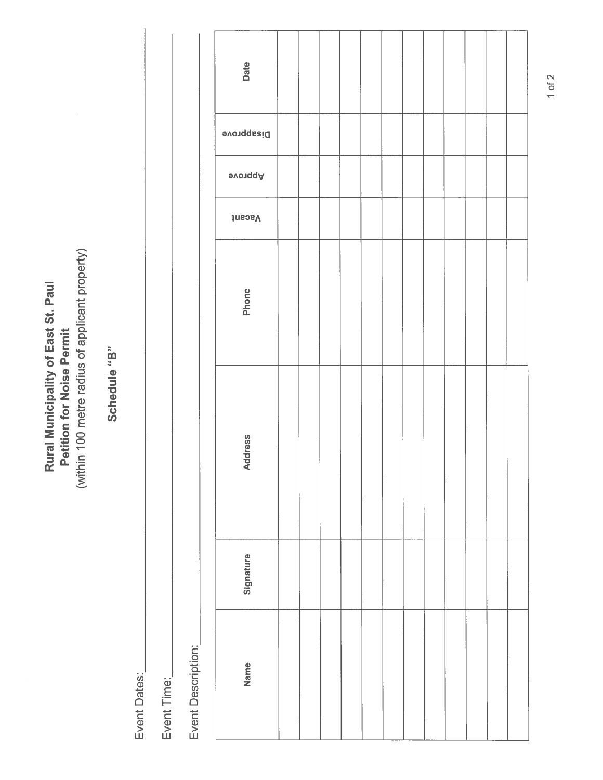(within 100 metre radius of applicant property) (within 100 metre radius of applicant property) Rural Municipality of East St. Paul Rural Municipality of East St. Paul **Petition for Noise Permit** Petition for Noise Permit

# Schedule "B" Schedule "B"

Event Dates: Event Dates:

Event Time: Event Time: Event Description: Event Description:

| Date              |  |  |  |  |  |  |
|-------------------|--|--|--|--|--|--|
| <b>Disapprove</b> |  |  |  |  |  |  |
| avonqqA           |  |  |  |  |  |  |
| Vacant            |  |  |  |  |  |  |
| Phone             |  |  |  |  |  |  |
| <b>Address</b>    |  |  |  |  |  |  |
| Signature         |  |  |  |  |  |  |
| Name              |  |  |  |  |  |  |

1 of 2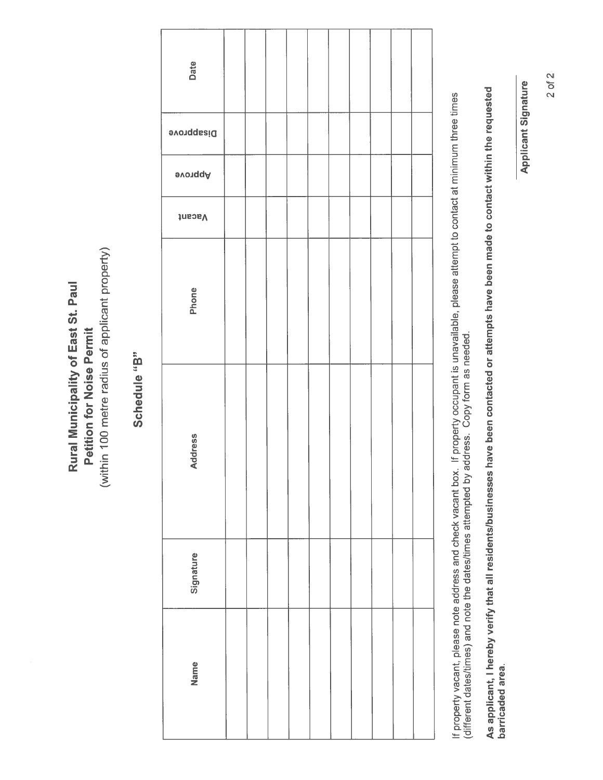(within 100 metre radius of applicant property) (within 100 metre radius of applicant property) Rural Municipality of East St. Paul Rural Municipality of East St. Paul **Petition for Noise Permit** Petition for Noise Permit

# Schedule "B" Schedule "B"

| Date<br><b>Disapprove</b><br><b>evonqqA</b><br>Vacant<br>Phone<br><b>Address</b><br>Signature<br>Name |  |  |  |  |  |  |
|-------------------------------------------------------------------------------------------------------|--|--|--|--|--|--|
|                                                                                                       |  |  |  |  |  |  |
|                                                                                                       |  |  |  |  |  |  |
|                                                                                                       |  |  |  |  |  |  |
|                                                                                                       |  |  |  |  |  |  |
|                                                                                                       |  |  |  |  |  |  |
|                                                                                                       |  |  |  |  |  |  |
|                                                                                                       |  |  |  |  |  |  |
|                                                                                                       |  |  |  |  |  |  |

If property vacant, please note address and check vacant box. If property occupant is unavailable, please attempt to contact at minimum three times<br>(different dates/times) and note the dates/times attempted by address. Cop If property vacant, please note address and check vacant box. If property occupant is unavailable, please attempt to contact at minimum three times (different dates/times) and note the dates/times attempted by address. Copy form as needed.

As applicant, I hereby verify that all residents/businesses have been contacted or attempts have been made to contact within the requested As applicant, I hereby verify that all residentslbusinesses have been contacted or attempts have been made to contact within the requested barricaded area. barricaded area. **Applicant Signature** Applicant Signature

2 of 2